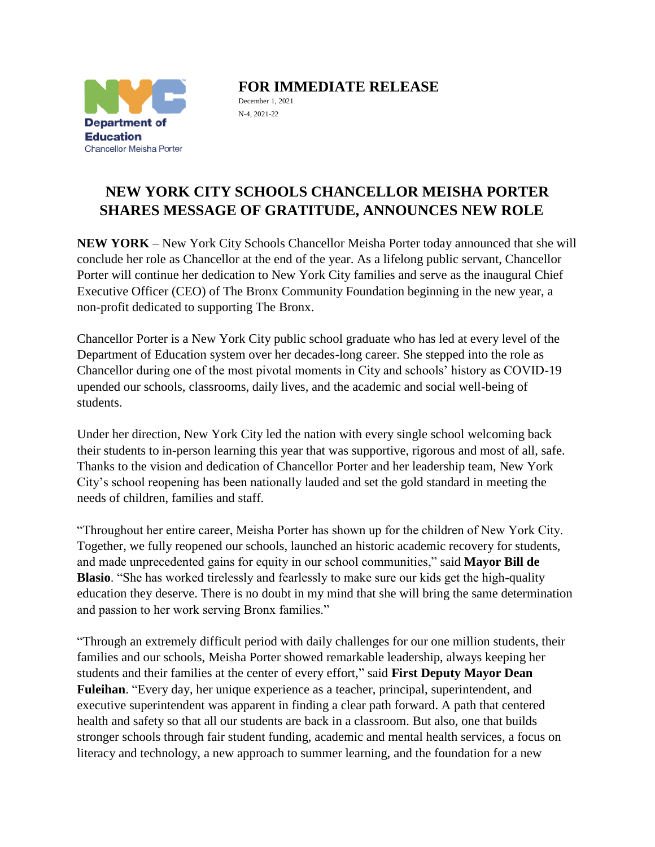

**FOR IMMEDIATE RELEASE**

December 1, 2021 N-4, 2021-22

## **NEW YORK CITY SCHOOLS CHANCELLOR MEISHA PORTER SHARES MESSAGE OF GRATITUDE, ANNOUNCES NEW ROLE**

**NEW YORK** – New York City Schools Chancellor Meisha Porter today announced that she will conclude her role as Chancellor at the end of the year. As a lifelong public servant, Chancellor Porter will continue her dedication to New York City families and serve as the inaugural Chief Executive Officer (CEO) of The Bronx Community Foundation beginning in the new year, a non-profit dedicated to supporting The Bronx.

Chancellor Porter is a New York City public school graduate who has led at every level of the Department of Education system over her decades-long career. She stepped into the role as Chancellor during one of the most pivotal moments in City and schools' history as COVID-19 upended our schools, classrooms, daily lives, and the academic and social well-being of students.

Under her direction, New York City led the nation with every single school welcoming back their students to in-person learning this year that was supportive, rigorous and most of all, safe. Thanks to the vision and dedication of Chancellor Porter and her leadership team, New York City's school reopening has been nationally lauded and set the gold standard in meeting the needs of children, families and staff.

"Throughout her entire career, Meisha Porter has shown up for the children of New York City. Together, we fully reopened our schools, launched an historic academic recovery for students, and made unprecedented gains for equity in our school communities," said **Mayor Bill de Blasio**. "She has worked tirelessly and fearlessly to make sure our kids get the high-quality education they deserve. There is no doubt in my mind that she will bring the same determination and passion to her work serving Bronx families."

"Through an extremely difficult period with daily challenges for our one million students, their families and our schools, Meisha Porter showed remarkable leadership, always keeping her students and their families at the center of every effort," said **First Deputy Mayor Dean Fuleihan**. "Every day, her unique experience as a teacher, principal, superintendent, and executive superintendent was apparent in finding a clear path forward. A path that centered health and safety so that all our students are back in a classroom. But also, one that builds stronger schools through fair student funding, academic and mental health services, a focus on literacy and technology, a new approach to summer learning, and the foundation for a new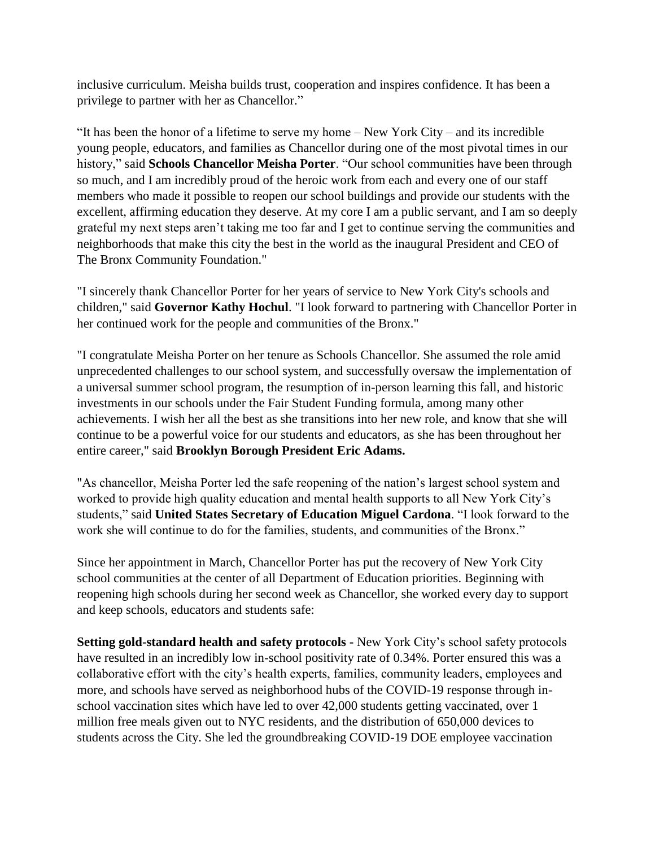inclusive curriculum. Meisha builds trust, cooperation and inspires confidence. It has been a privilege to partner with her as Chancellor."

"It has been the honor of a lifetime to serve my home – New York City – and its incredible young people, educators, and families as Chancellor during one of the most pivotal times in our history," said **Schools Chancellor Meisha Porter**. "Our school communities have been through so much, and I am incredibly proud of the heroic work from each and every one of our staff members who made it possible to reopen our school buildings and provide our students with the excellent, affirming education they deserve. At my core I am a public servant, and I am so deeply grateful my next steps aren't taking me too far and I get to continue serving the communities and neighborhoods that make this city the best in the world as the inaugural President and CEO of The Bronx Community Foundation."

"I sincerely thank Chancellor Porter for her years of service to New York City's schools and children," said **Governor Kathy Hochul**. "I look forward to partnering with Chancellor Porter in her continued work for the people and communities of the Bronx."

"I congratulate Meisha Porter on her tenure as Schools Chancellor. She assumed the role amid unprecedented challenges to our school system, and successfully oversaw the implementation of a universal summer school program, the resumption of in-person learning this fall, and historic investments in our schools under the Fair Student Funding formula, among many other achievements. I wish her all the best as she transitions into her new role, and know that she will continue to be a powerful voice for our students and educators, as she has been throughout her entire career," said **Brooklyn Borough President Eric Adams.**

"As chancellor, Meisha Porter led the safe reopening of the nation's largest school system and worked to provide high quality education and mental health supports to all New York City's students," said **United States Secretary of Education Miguel Cardona**. "I look forward to the work she will continue to do for the families, students, and communities of the Bronx."

Since her appointment in March, Chancellor Porter has put the recovery of New York City school communities at the center of all Department of Education priorities. Beginning with reopening high schools during her second week as Chancellor, she worked every day to support and keep schools, educators and students safe:

**Setting gold-standard health and safety protocols -** New York City's school safety protocols have resulted in an incredibly low in-school positivity rate of 0.34%. Porter ensured this was a collaborative effort with the city's health experts, families, community leaders, employees and more, and schools have served as neighborhood hubs of the COVID-19 response through inschool vaccination sites which have led to over 42,000 students getting vaccinated, over 1 million free meals given out to NYC residents, and the distribution of 650,000 devices to students across the City. She led the groundbreaking COVID-19 DOE employee vaccination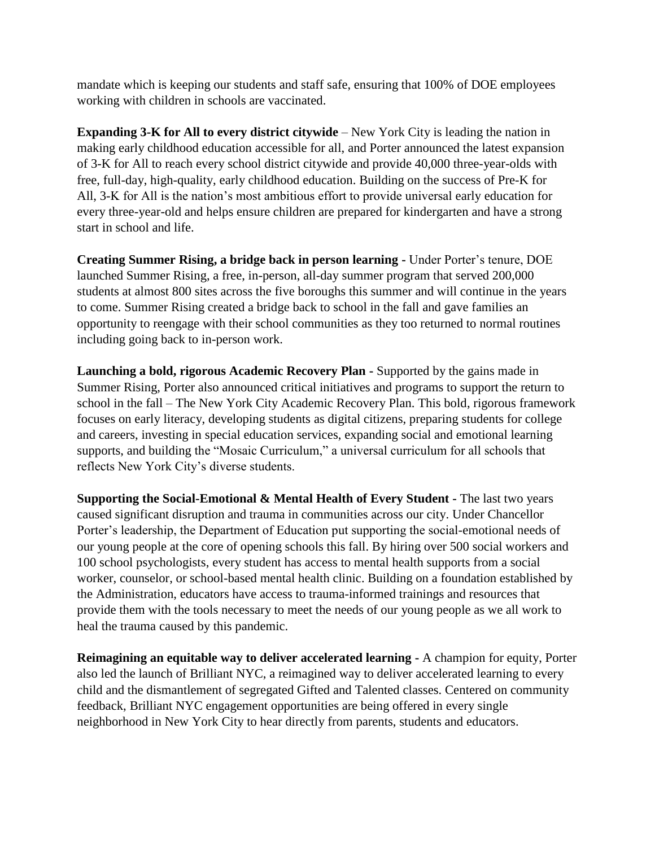mandate which is keeping our students and staff safe, ensuring that 100% of DOE employees working with children in schools are vaccinated.

**Expanding 3-K for All to every district citywide** – New York City is leading the nation in making early childhood education accessible for all, and Porter announced the latest expansion of 3-K for All to reach every school district citywide and provide 40,000 three-year-olds with free, full-day, high-quality, early childhood education. Building on the success of Pre-K for All, 3-K for All is the nation's most ambitious effort to provide universal early education for every three-year-old and helps ensure children are prepared for kindergarten and have a strong start in school and life.

**Creating Summer Rising, a bridge back in person learning -** Under Porter's tenure, DOE launched Summer Rising, a free, in-person, all-day summer program that served 200,000 students at almost 800 sites across the five boroughs this summer and will continue in the years to come. Summer Rising created a bridge back to school in the fall and gave families an opportunity to reengage with their school communities as they too returned to normal routines including going back to in-person work.

**Launching a bold, rigorous Academic Recovery Plan -** Supported by the gains made in Summer Rising, Porter also announced critical initiatives and programs to support the return to school in the fall – The New York City Academic Recovery Plan. This bold, rigorous framework focuses on early literacy, developing students as digital citizens, preparing students for college and careers, investing in special education services, expanding social and emotional learning supports, and building the "Mosaic Curriculum," a universal curriculum for all schools that reflects New York City's diverse students.

**Supporting the Social-Emotional & Mental Health of Every Student -** The last two years caused significant disruption and trauma in communities across our city. Under Chancellor Porter's leadership, the Department of Education put supporting the social-emotional needs of our young people at the core of opening schools this fall. By hiring over 500 social workers and 100 school psychologists, every student has access to mental health supports from a social worker, counselor, or school-based mental health clinic. Building on a foundation established by the Administration, educators have access to trauma-informed trainings and resources that provide them with the tools necessary to meet the needs of our young people as we all work to heal the trauma caused by this pandemic.

**Reimagining an equitable way to deliver accelerated learning -** A champion for equity, Porter also led the launch of Brilliant NYC, a reimagined way to deliver accelerated learning to every child and the dismantlement of segregated Gifted and Talented classes. Centered on community feedback, Brilliant NYC engagement opportunities are being offered in every single neighborhood in New York City to hear directly from parents, students and educators.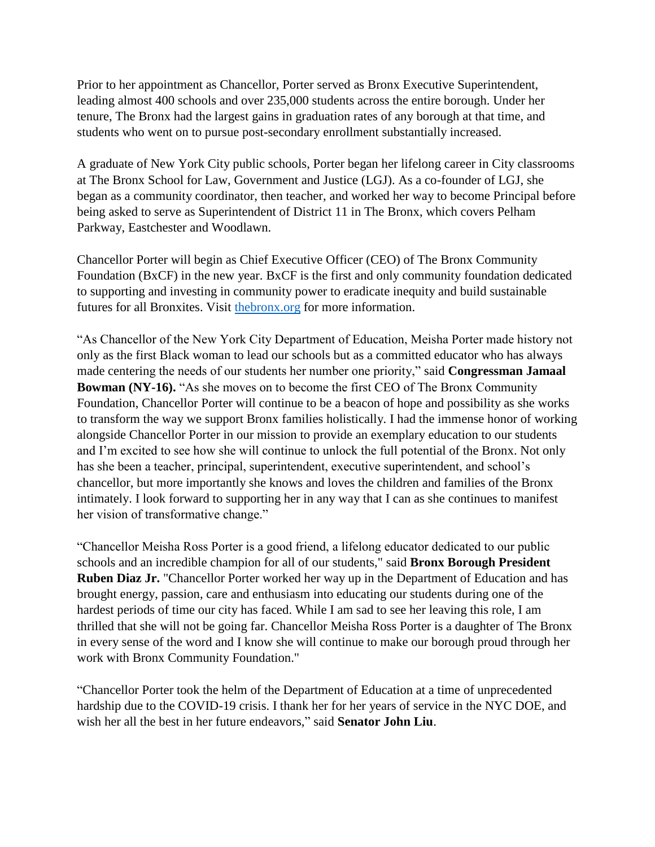Prior to her appointment as Chancellor, Porter served as Bronx Executive Superintendent, leading almost 400 schools and over 235,000 students across the entire borough. Under her tenure, The Bronx had the largest gains in graduation rates of any borough at that time, and students who went on to pursue post-secondary enrollment substantially increased.

A graduate of New York City public schools, Porter began her lifelong career in City classrooms at The Bronx School for Law, Government and Justice (LGJ). As a co-founder of LGJ, she began as a community coordinator, then teacher, and worked her way to become Principal before being asked to serve as Superintendent of District 11 in The Bronx, which covers Pelham Parkway, Eastchester and Woodlawn.

Chancellor Porter will begin as Chief Executive Officer (CEO) of The Bronx Community Foundation (BxCF) in the new year. BxCF is the first and only community foundation dedicated to supporting and investing in community power to eradicate inequity and build sustainable futures for all Bronxites. Visit [thebronx.org](https://nam10.safelinks.protection.outlook.com/?url=http%3A%2F%2Fthebronx.org%2F&data=04%7C01%7CSCasasnovas2%40schools.nyc.gov%7C03e88de662af46b90d9208d9b4da7739%7C18492cb7ef45456185710c42e5f7ac07%7C0%7C0%7C637739672655489532%7CUnknown%7CTWFpbGZsb3d8eyJWIjoiMC4wLjAwMDAiLCJQIjoiV2luMzIiLCJBTiI6Ik1haWwiLCJXVCI6Mn0%3D%7C3000&sdata=5yyJ4wgK6jqWTnlqHhGmIhg8oEzwuuICOkvDLcfeIXE%3D&reserved=0) for more information.

"As Chancellor of the New York City Department of Education, Meisha Porter made history not only as the first Black woman to lead our schools but as a committed educator who has always made centering the needs of our students her number one priority," said **Congressman Jamaal Bowman (NY-16).** "As she moves on to become the first CEO of The Bronx Community Foundation, Chancellor Porter will continue to be a beacon of hope and possibility as she works to transform the way we support Bronx families holistically. I had the immense honor of working alongside Chancellor Porter in our mission to provide an exemplary education to our students and I'm excited to see how she will continue to unlock the full potential of the Bronx. Not only has she been a teacher, principal, superintendent, executive superintendent, and school's chancellor, but more importantly she knows and loves the children and families of the Bronx intimately. I look forward to supporting her in any way that I can as she continues to manifest her vision of transformative change."

"Chancellor Meisha Ross Porter is a good friend, a lifelong educator dedicated to our public schools and an incredible champion for all of our students," said **Bronx Borough President Ruben Diaz Jr.** "Chancellor Porter worked her way up in the Department of Education and has brought energy, passion, care and enthusiasm into educating our students during one of the hardest periods of time our city has faced. While I am sad to see her leaving this role, I am thrilled that she will not be going far. Chancellor Meisha Ross Porter is a daughter of The Bronx in every sense of the word and I know she will continue to make our borough proud through her work with Bronx Community Foundation."

"Chancellor Porter took the helm of the Department of Education at a time of unprecedented hardship due to the COVID-19 crisis. I thank her for her years of service in the NYC DOE, and wish her all the best in her future endeavors," said **Senator John Liu**.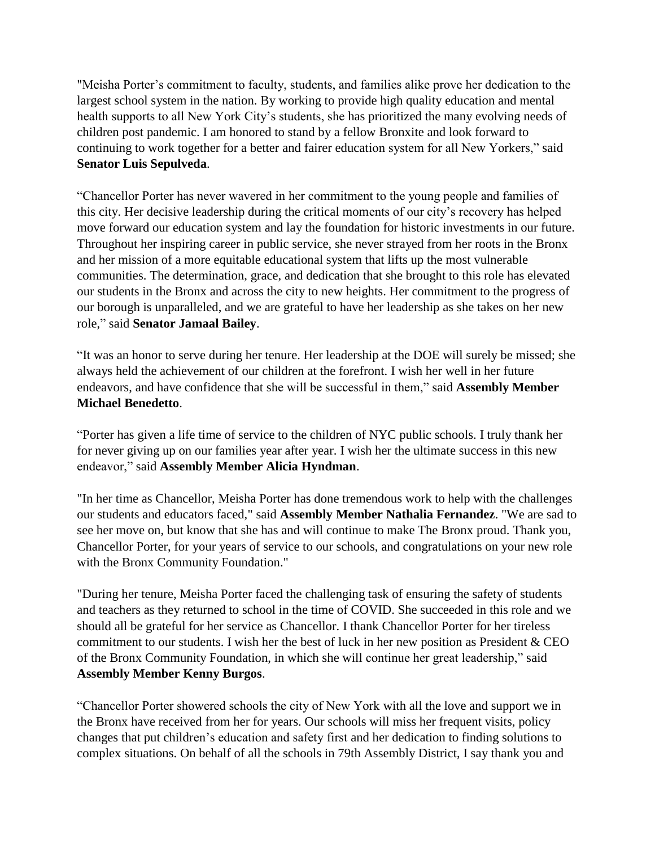"Meisha Porter's commitment to faculty, students, and families alike prove her dedication to the largest school system in the nation. By working to provide high quality education and mental health supports to all New York City's students, she has prioritized the many evolving needs of children post pandemic. I am honored to stand by a fellow Bronxite and look forward to continuing to work together for a better and fairer education system for all New Yorkers," said **Senator Luis Sepulveda**.

"Chancellor Porter has never wavered in her commitment to the young people and families of this city. Her decisive leadership during the critical moments of our city's recovery has helped move forward our education system and lay the foundation for historic investments in our future. Throughout her inspiring career in public service, she never strayed from her roots in the Bronx and her mission of a more equitable educational system that lifts up the most vulnerable communities. The determination, grace, and dedication that she brought to this role has elevated our students in the Bronx and across the city to new heights. Her commitment to the progress of our borough is unparalleled, and we are grateful to have her leadership as she takes on her new role," said **Senator Jamaal Bailey**.

"It was an honor to serve during her tenure. Her leadership at the DOE will surely be missed; she always held the achievement of our children at the forefront. I wish her well in her future endeavors, and have confidence that she will be successful in them," said **Assembly Member Michael Benedetto**.

"Porter has given a life time of service to the children of NYC public schools. I truly thank her for never giving up on our families year after year. I wish her the ultimate success in this new endeavor," said **Assembly Member Alicia Hyndman**.

"In her time as Chancellor, Meisha Porter has done tremendous work to help with the challenges our students and educators faced," said **Assembly Member Nathalia Fernandez**. "We are sad to see her move on, but know that she has and will continue to make The Bronx proud. Thank you, Chancellor Porter, for your years of service to our schools, and congratulations on your new role with the Bronx Community Foundation."

"During her tenure, Meisha Porter faced the challenging task of ensuring the safety of students and teachers as they returned to school in the time of COVID. She succeeded in this role and we should all be grateful for her service as Chancellor. I thank Chancellor Porter for her tireless commitment to our students. I wish her the best of luck in her new position as President & CEO of the Bronx Community Foundation, in which she will continue her great leadership," said **Assembly Member Kenny Burgos**.

"Chancellor Porter showered schools the city of New York with all the love and support we in the Bronx have received from her for years. Our schools will miss her frequent visits, policy changes that put children's education and safety first and her dedication to finding solutions to complex situations. On behalf of all the schools in 79th Assembly District, I say thank you and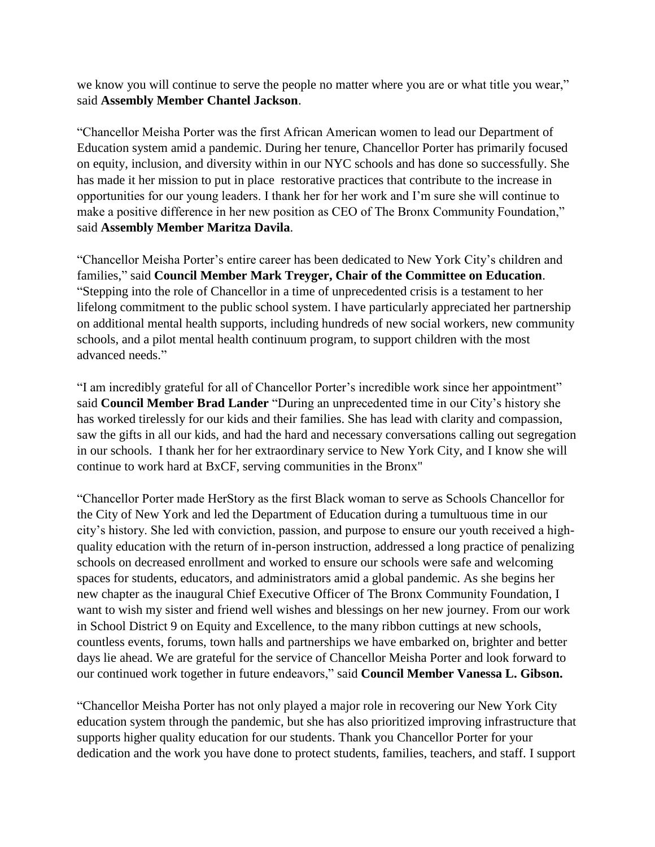we know you will continue to serve the people no matter where you are or what title you wear," said **Assembly Member Chantel Jackson**.

"Chancellor Meisha Porter was the first African American women to lead our Department of Education system amid a pandemic. During her tenure, Chancellor Porter has primarily focused on equity, inclusion, and diversity within in our NYC schools and has done so successfully. She has made it her mission to put in place restorative practices that contribute to the increase in opportunities for our young leaders. I thank her for her work and I'm sure she will continue to make a positive difference in her new position as CEO of The Bronx Community Foundation," said **Assembly Member Maritza Davila**.

"Chancellor Meisha Porter's entire career has been dedicated to New York City's children and families," said **Council Member Mark Treyger, Chair of the Committee on Education**. "Stepping into the role of Chancellor in a time of unprecedented crisis is a testament to her lifelong commitment to the public school system. I have particularly appreciated her partnership on additional mental health supports, including hundreds of new social workers, new community schools, and a pilot mental health continuum program, to support children with the most advanced needs."

"I am incredibly grateful for all of Chancellor Porter's incredible work since her appointment" said **Council Member Brad Lander** "During an unprecedented time in our City's history she has worked tirelessly for our kids and their families. She has lead with clarity and compassion, saw the gifts in all our kids, and had the hard and necessary conversations calling out segregation in our schools. I thank her for her extraordinary service to New York City, and I know she will continue to work hard at BxCF, serving communities in the Bronx"

"Chancellor Porter made HerStory as the first Black woman to serve as Schools Chancellor for the City of New York and led the Department of Education during a tumultuous time in our city's history. She led with conviction, passion, and purpose to ensure our youth received a highquality education with the return of in-person instruction, addressed a long practice of penalizing schools on decreased enrollment and worked to ensure our schools were safe and welcoming spaces for students, educators, and administrators amid a global pandemic. As she begins her new chapter as the inaugural Chief Executive Officer of The Bronx Community Foundation, I want to wish my sister and friend well wishes and blessings on her new journey. From our work in School District 9 on Equity and Excellence, to the many ribbon cuttings at new schools, countless events, forums, town halls and partnerships we have embarked on, brighter and better days lie ahead. We are grateful for the service of Chancellor Meisha Porter and look forward to our continued work together in future endeavors," said **Council Member Vanessa L. Gibson.**

"Chancellor Meisha Porter has not only played a major role in recovering our New York City education system through the pandemic, but she has also prioritized improving infrastructure that supports higher quality education for our students. Thank you Chancellor Porter for your dedication and the work you have done to protect students, families, teachers, and staff. I support